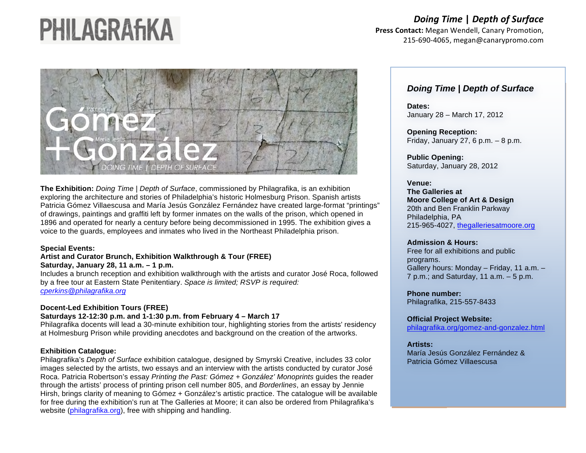### *Doing&Time&***|** *Depth&of&Surface*

Press Contact: Megan Wendell, Canary Promotion, 215-690-4065, megan@canarypromo.com



**The Exhibition:** *Doing Time | Depth of Surface*, commissioned by Philagrafika, is an exhibition exploring the architecture and stories of Philadelphia's historic Holmesburg Prison. Spanish artists Patricia Gómez Villaescusa and María Jesús González Fernández have created large-format "printings" of drawings, paintings and graffiti left by former inmates on the walls of the prison, which opened in 1896 and operated for nearly a century before being decommissioned in 1995. The exhibition gives a voice to the guards, employees and inmates who lived in the Northeast Philadelphia prison.

#### **Special Events:**

### **Artist and Curator Brunch, Exhibition Walkthrough & Tour (FREE)**

**Saturday, January 28, 11 a.m. – 1 p.m.**

Includes a brunch reception and exhibition walkthrough with the artists and curator José Roca, followed by a free tour at Eastern State Penitentiary. *Space is limited; RSVP is required: cperkins@philagrafika.org*

### **Docent-Led Exhibition Tours (FREE)**

### **Saturdays 12-12:30 p.m. and 1-1:30 p.m. from February 4 – March 17**

Philagrafika docents will lead a 30-minute exhibition tour, highlighting stories from the artists' residency at Holmesburg Prison while providing anecdotes and background on the creation of the artworks.

### **Exhibition Catalogue:**

Philagrafika's *Depth of Surface* exhibition catalogue, designed by Smyrski Creative, includes 33 color images selected by the artists, two essays and an interview with the artists conducted by curator José Roca. Patricia Robertson's essay *Printing the Past: Gómez + González' Monoprints* guides the reader through the artists' process of printing prison cell number 805, and *Borderlines*, an essay by Jennie Hirsh, brings clarity of meaning to Gómez + González's artistic practice. The catalogue will be available for free during the exhibition's run at The Galleries at Moore; it can also be ordered from Philagrafika's website (philagrafika.org), free with shipping and handling.

### *Doing Time | Depth of Surface*

**Dates:**  January 28 – March 17, 2012

**Opening Reception:** Friday, January 27, 6 p.m.  $-8$  p.m.

**Public Opening:** Saturday, January 28, 2012

### **Venue:**

**The Galleries at Moore College of Art & Design** 20th and Ben Franklin Parkway Philadelphia, PA 215-965-4027, thegalleriesatmoore.org

### **Admission & Hours:**

Free for all exhibitions and public programs. Gallery hours: Monday – Friday, 11 a.m. – 7 p.m.; and Saturday, 11 a.m. – 5 p.m.

**Phone number:**

Philagrafika, 215-557-8433

**Official Project Website:** 

philagrafika.org/gomez-and-gonzalez.html

### **Artists:**

María Jesús González Fernández & Patricia Gómez Villaescusa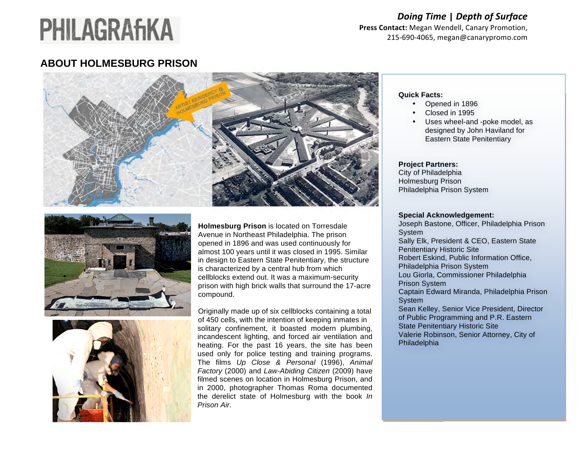# *Doing&Time&***|** *Depth&of&Surface*

Press Contact: Megan Wendell, Canary Promotion, 215-690-4065, megan@canarypromo.com

## **ABOUT HOLMESBURG PRISON**







**Holmesburg Prison** is located on Torresdale Avenue in Northeast Philadelphia. The prison opened in 1896 and was used continuously for almost 100 years until it was closed in 1995. Similar in design to Eastern State Penitentiary, the structure is characterized by a central hub from which cellblocks extend out. It was a maximum-security prison with high brick walls that surround the 17-acre compound.

Originally made up of six cellblocks containing a total of 450 cells, with the intention of keeping inmates in solitary confinement, it boasted modern plumbing, incandescent lighting, and forced air ventilation and heating. For the past 16 years, the site has been used only for police testing and training programs. The films *Up Close & Personal* (1996), *Animal Factory* (2000) and *Law-Abiding Citizen* (2009) have filmed scenes on location in Holmesburg Prison, and in 2000, photographer Thomas Roma documented the derelict state of Holmesburg with the book *In Prison Air*.

### **Quick Facts:**

- Opened in 1896
- Closed in 1995
- Uses wheel-and -poke model, as designed by John Haviland for Eastern State Penitentiary

### **Project Partners:**

City of Philadelphia Holmesburg Prison Philadelphia Prison System

### **Special Acknowledgement:**

Joseph Bastone, Officer, Philadelphia Prison System Sally Elk, President & CEO, Eastern State Penitentiary Historic Site Robert Eskind, Public Information Office, Philadelphia Prison System Lou Giorla, Commissioner Philadelphia Prison System Captain Edward Miranda, Philadelphia Prison **System** Sean Kelley, Senior Vice President, Director of Public Programming and P.R. Eastern State Penitentiary Historic Site Valerie Robinson, Senior Attorney, City of **Philadelphia**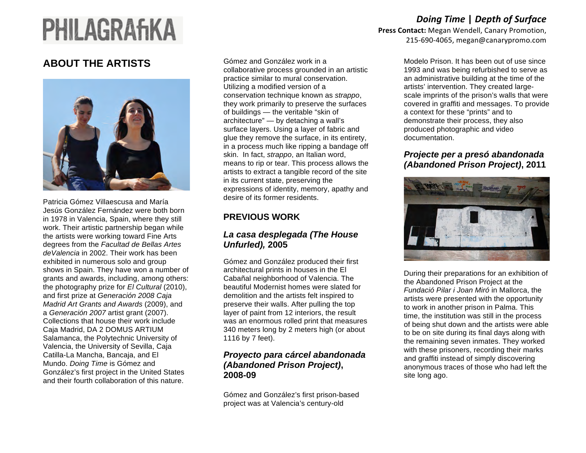## **ABOUT THE ARTISTS**



Patricia Gómez Villaescusa and María Jesús González Fernández were both born in 1978 in Valencia, Spain, where they still work. Their artistic partnership began while the artists were working toward Fine Arts degrees from the *Facultad de Bellas Artes deValencia* in 2002. Their work has been exhibited in numerous solo and group shows in Spain. They have won a number of grants and awards, including, among others: the photography prize for *El Cultural* (2010), and first prize at *Generación 2008 Caja Madrid Art Grants and Awards* (2009), and a *Generación 2007* artist grant (2007). Collections that house their work include Caja Madrid, DA 2 DOMUS ARTIUM Salamanca, the Polytechnic University of Valencia, the University of Sevilla, Caja Catilla-La Mancha, Bancaja, and El Mundo. *Doing Time* is Gómez and González's first project in the United States and their fourth collaboration of this nature.

Gómez and González work in a collaborative process grounded in an artistic practice similar to mural conservation. Utilizing a modified version of a conservation technique known as *strappo*, they work primarily to preserve the surfaces of buildings — the veritable "skin of architecture" — by detaching a wall's surface layers. Using a layer of fabric and glue they remove the surface, in its entirety, in a process much like ripping a bandage off skin. In fact, *strappo*, an Italian word, means to rip or tear. This process allows the artists to extract a tangible record of the site in its current state, preserving the expressions of identity, memory, apathy and desire of its former residents.

### **PREVIOUS WORK**

### *La casa desplegada (The House Unfurled),* **2005**

Gómez and González produced their first architectural prints in houses in the El Cabañal neighborhood of Valencia. The beautiful Modernist homes were slated for demolition and the artists felt inspired to preserve their walls. After pulling the top layer of paint from 12 interiors, the result was an enormous rolled print that measures 340 meters long by 2 meters high (or about 1116 by 7 feet).

### *Proyecto para cárcel abandonada (Abandoned Prison Project)***, 2008-09**

Gómez and González's first prison-based project was at Valencia's century-old

*Doing&Time&***|** *Depth&of&Surface* Press Contact: Megan Wendell, Canary Promotion, 215-690-4065, megan@canarypromo.com

> Modelo Prison. It has been out of use since 1993 and was being refurbished to serve as an administrative building at the time of the artists' intervention. They created largescale imprints of the prison's walls that were covered in graffiti and messages. To provide a context for these "prints" and to demonstrate their process, they also produced photographic and video documentation.

### *Projecte per a presó abandonada (Abandoned Prison Project)***, 2011**



During their preparations for an exhibition of the Abandoned Prison Project at the *Fundació Pilar i Joan Miró* in Mallorca, the artists were presented with the opportunity to work in another prison in Palma. This time, the institution was still in the process of being shut down and the artists were able to be on site during its final days along with the remaining seven inmates. They worked with these prisoners, recording their marks and graffiti instead of simply discovering anonymous traces of those who had left the site long ago.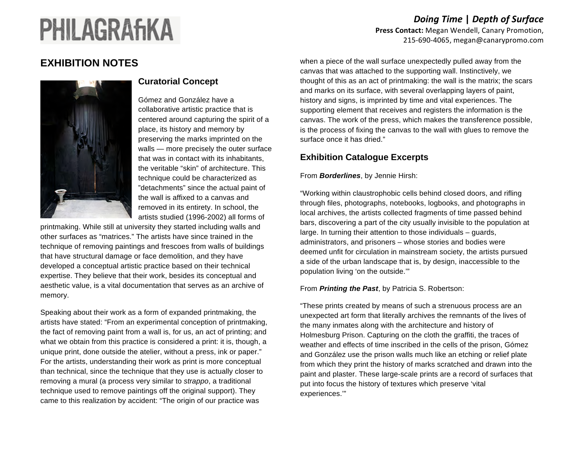### **EXHIBITION NOTES**



### **Curatorial Concept**

Gómez and González have a collaborative artistic practice that is centered around capturing the spirit of a place, its history and memory by preserving the marks imprinted on the walls — more precisely the outer surface that was in contact with its inhabitants, the veritable "skin" of architecture. This technique could be characterized as "detachments" since the actual paint of the wall is affixed to a canvas and removed in its entirety. In school, the artists studied (1996-2002) all forms of

printmaking. While still at university they started including walls and other surfaces as "matrices." The artists have since trained in the technique of removing paintings and frescoes from walls of buildings that have structural damage or face demolition, and they have developed a conceptual artistic practice based on their technical expertise. They believe that their work, besides its conceptual and aesthetic value, is a vital documentation that serves as an archive of memory.

Speaking about their work as a form of expanded printmaking, the artists have stated: "From an experimental conception of printmaking, the fact of removing paint from a wall is, for us, an act of printing; and what we obtain from this practice is considered a print: it is, though, a unique print, done outside the atelier, without a press, ink or paper." For the artists, understanding their work as print is more conceptual than technical, since the technique that they use is actually closer to removing a mural (a process very similar to *strappo*, a traditional technique used to remove paintings off the original support). They came to this realization by accident: "The origin of our practice was

215-690-4065, megan@canarypromo.com when a piece of the wall surface unexpectedly pulled away from the

canvas that was attached to the supporting wall. Instinctively, we thought of this as an act of printmaking: the wall is the matrix; the scars and marks on its surface, with several overlapping layers of paint, history and signs, is imprinted by time and vital experiences. The supporting element that receives and registers the information is the canvas. The work of the press, which makes the transference possible, is the process of fixing the canvas to the wall with glues to remove the surface once it has dried."

### **Exhibition Catalogue Excerpts**

### From *Borderlines*, by Jennie Hirsh:

"Working within claustrophobic cells behind closed doors, and rifling through files, photographs, notebooks, logbooks, and photographs in local archives, the artists collected fragments of time passed behind bars, discovering a part of the city usually invisible to the population at large. In turning their attention to those individuals – guards, administrators, and prisoners – whose stories and bodies were deemed unfit for circulation in mainstream society, the artists pursued a side of the urban landscape that is, by design, inaccessible to the population living 'on the outside.'"

### From *Printing the Past*, by Patricia S. Robertson:

"These prints created by means of such a strenuous process are an unexpected art form that literally archives the remnants of the lives of the many inmates along with the architecture and history of Holmesburg Prison. Capturing on the cloth the graffiti, the traces of weather and effects of time inscribed in the cells of the prison, Gómez and González use the prison walls much like an etching or relief plate from which they print the history of marks scratched and drawn into the paint and plaster. These large-scale prints are a record of surfaces that put into focus the history of textures which preserve 'vital experiences.'"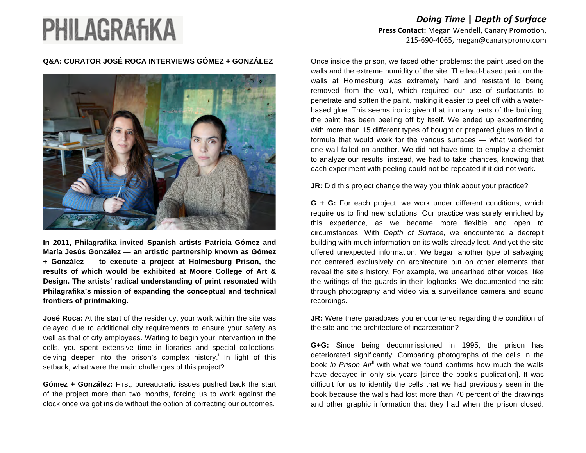### Q&A: CURATOR JOSÉ ROCA INTERVIEWS GÓMEZ + GONZÁLEZ **Curato Conce inside the prison, we faced other problems: the paint used on the**



**In 2011, Philagrafika invited Spanish artists Patricia Gómez and María Jesús González — an artistic partnership known as Gómez + González — to execute a project at Holmesburg Prison, the results of which would be exhibited at Moore College of Art & Design. The artists' radical understanding of print resonated with Philagrafika's mission of expanding the conceptual and technical frontiers of printmaking.**

**José Roca:** At the start of the residency, your work within the site was delayed due to additional city requirements to ensure your safety as well as that of city employees. Waiting to begin your intervention in the cells, you spent extensive time in libraries and special collections, delving deeper into the prison's complex history.<sup>i</sup> In light of this setback, what were the main challenges of this project?

**Gómez + González:** First, bureaucratic issues pushed back the start of the project more than two months, forcing us to work against the clock once we got inside without the option of correcting our outcomes.

### *Doing&Time&***|** *Depth&of&Surface* Press Contact: Megan Wendell, Canary Promotion, 215-690-4065, megan@canarypromo.com

walls and the extreme humidity of the site. The lead-based paint on the walls at Holmesburg was extremely hard and resistant to being removed from the wall, which required our use of surfactants to penetrate and soften the paint, making it easier to peel off with a waterbased glue. This seems ironic given that in many parts of the building, the paint has been peeling off by itself. We ended up experimenting with more than 15 different types of bought or prepared glues to find a formula that would work for the various surfaces — what worked for one wall failed on another. We did not have time to employ a chemist to analyze our results; instead, we had to take chances, knowing that each experiment with peeling could not be repeated if it did not work.

**JR:** Did this project change the way you think about your practice?

**G + G:** For each project, we work under different conditions, which require us to find new solutions. Our practice was surely enriched by this experience, as we became more flexible and open to circumstances. With *Depth of Surface*, we encountered a decrepit building with much information on its walls already lost. And yet the site offered unexpected information: We began another type of salvaging not centered exclusively on architecture but on other elements that reveal the site's history. For example, we unearthed other voices, like the writings of the guards in their logbooks. We documented the site through photography and video via a surveillance camera and sound recordings.

**JR:** Were there paradoxes you encountered regarding the condition of the site and the architecture of incarceration?

**G+G:** Since being decommissioned in 1995, the prison has deteriorated significantly. Comparing photographs of the cells in the book *In Prison Air*<sup>"</sup> with what we found confirms how much the walls have decayed in only six years [since the book's publication]. It was difficult for us to identify the cells that we had previously seen in the book because the walls had lost more than 70 percent of the drawings and other graphic information that they had when the prison closed.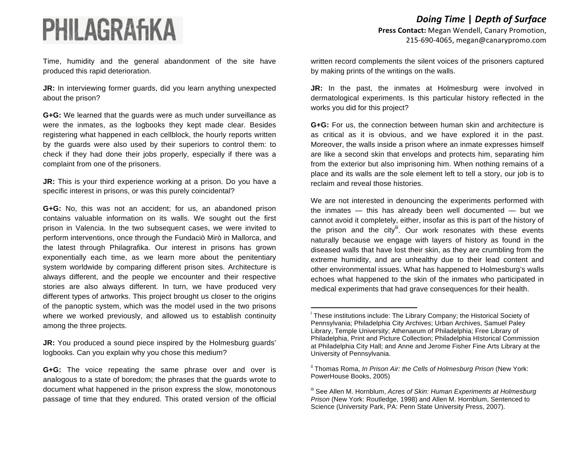Time, humidity and the general abandonment of the site have written record complements the silent voices of the prisoners captured produced this rapid deterioration.

**JR:** In interviewing former guards, did you learn anything unexpected about the prison?

**G+G:** We learned that the guards were as much under surveillance as were the inmates, as the logbooks they kept made clear. Besides registering what happened in each cellblock, the hourly reports written by the guards were also used by their superiors to control them: to check if they had done their jobs properly, especially if there was a complaint from one of the prisoners.

**JR:** This is your third experience working at a prison. Do you have a specific interest in prisons, or was this purely coincidental?

**G+G:** No, this was not an accident; for us, an abandoned prison contains valuable information on its walls. We sought out the first prison in Valencia. In the two subsequent cases, we were invited to perform interventions, once through the Fundaciò Mirò in Mallorca, and the latest through Philagrafika. Our interest in prisons has grown exponentially each time, as we learn more about the penitentiary system worldwide by comparing different prison sites. Architecture is always different, and the people we encounter and their respective stories are also always different. In turn, we have produced very different types of artworks. This project brought us closer to the origins of the panoptic system, which was the model used in the two prisons where we worked previously, and allowed us to establish continuity among the three projects.

**JR:** You produced a sound piece inspired by the Holmesburg guards' logbooks. Can you explain why you chose this medium?

**G+G:** The voice repeating the same phrase over and over is analogous to a state of boredom; the phrases that the guards wrote to document what happened in the prison express the slow, monotonous passage of time that they endured. This orated version of the official

*Doing&Time&***|** *Depth&of&Surface* Press Contact: Megan Wendell, Canary Promotion, 215-690-4065, megan@canarypromo.com

by making prints of the writings on the walls.

**JR:** In the past, the inmates at Holmesburg were involved in dermatological experiments. Is this particular history reflected in the works you did for this project?

**G+G:** For us, the connection between human skin and architecture is as critical as it is obvious, and we have explored it in the past. Moreover, the walls inside a prison where an inmate expresses himself are like a second skin that envelops and protects him, separating him from the exterior but also imprisoning him. When nothing remains of a place and its walls are the sole element left to tell a story, our job is to reclaim and reveal those histories.

We are not interested in denouncing the experiments performed with the inmates — this has already been well documented — but we cannot avoid it completely, either, insofar as this is part of the history of the prison and the city<sup>ii</sup>. Our work resonates with these events naturally because we engage with layers of history as found in the diseased walls that have lost their skin, as they are crumbling from the extreme humidity, and are unhealthy due to their lead content and other environmental issues. What has happened to Holmesburg's walls echoes what happened to the skin of the inmates who participated in medical experiments that had grave consequences for their health.

<sup>&</sup>lt;u>.</u><br>I These institutions include: The Library Company; the Historical Society of Pennsylvania; Philadelphia City Archives; Urban Archives, Samuel Paley Library, Temple University; Athenaeum of Philadelphia; Free Library of Philadelphia, Print and Picture Collection; Philadelphia HIstorical Commission at Philadelphia City Hall; and Anne and Jerome Fisher Fine Arts Library at the University of Pennsylvania.

<sup>&</sup>lt;sup>ii</sup> Thomas Roma, *In Prison Air: the Cells of Holmesburg Prison* (New York: PowerHouse Books, 2005)

iii See Allen M. Hornblum, *Acres of Skin: Human Experiments at Holmesburg Prison* (New York: Routledge, 1998) and Allen M. Hornblum, Sentenced to Science (University Park, PA: Penn State University Press, 2007).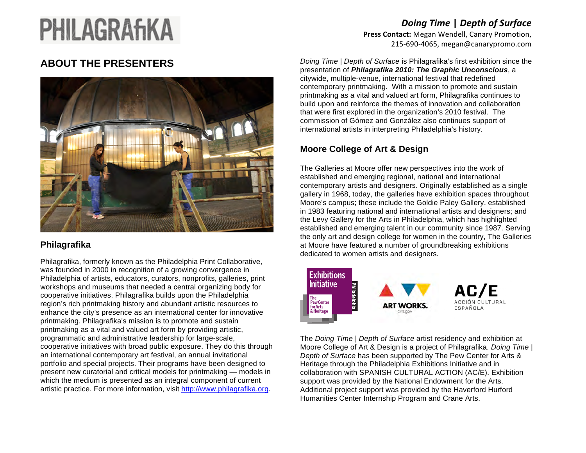# *Doing&Time&***|** *Depth&of&Surface*

Press Contact: Megan Wendell, Canary Promotion, 215-690-4065, megan@canarypromo.com



### **Philagrafika**

Philagrafika, formerly known as the Philadelphia Print Collaborative, was founded in 2000 in recognition of a growing convergence in Philadelphia of artists, educators, curators, nonprofits, galleries, print workshops and museums that needed a central organizing body for cooperative initiatives. Philagrafika builds upon the Philadelphia region's rich printmaking history and abundant artistic resources to enhance the city's presence as an international center for innovative printmaking. Philagrafika's mission is to promote and sustain printmaking as a vital and valued art form by providing artistic, programmatic and administrative leadership for large-scale, cooperative initiatives with broad public exposure. They do this through an international contemporary art festival, an annual invitational portfolio and special projects. Their programs have been designed to present new curatorial and critical models for printmaking — models in which the medium is presented as an integral component of current artistic practice. For more information, visit http://www.philagrafika.org.

**ABOUT THE PRESENTERS** Doing Time | Depth of Surface is Philagrafika's first exhibition since the presentation of *Philagrafika 2010: The Graphic Unconscious*, a citywide, multiple-venue, international festival that redefined contemporary printmaking. With a mission to promote and sustain printmaking as a vital and valued art form, Philagrafika continues to build upon and reinforce the themes of innovation and collaboration that were first explored in the organization's 2010 festival. The commission of Gómez and González also continues support of international artists in interpreting Philadelphia's history.

### **Moore College of Art & Design**

The Galleries at Moore offer new perspectives into the work of established and emerging regional, national and international contemporary artists and designers. Originally established as a single gallery in 1968, today, the galleries have exhibition spaces throughout Moore's campus; these include the Goldie Paley Gallery, established in 1983 featuring national and international artists and designers; and the Levy Gallery for the Arts in Philadelphia, which has highlighted established and emerging talent in our community since 1987. Serving the only art and design college for women in the country, The Galleries at Moore have featured a number of groundbreaking exhibitions dedicated to women artists and designers.



The *Doing Time | Depth of Surface* artist residency and exhibition at Moore College of Art & Design is a project of Philagrafika. *Doing Time | Depth of Surface* has been supported by The Pew Center for Arts & Heritage through the Philadelphia Exhibitions Initiative and in collaboration with SPANISH CULTURAL ACTION (AC/E). Exhibition support was provided by the National Endowment for the Arts. Additional project support was provided by the Haverford Hurford Humanities Center Internship Program and Crane Arts.